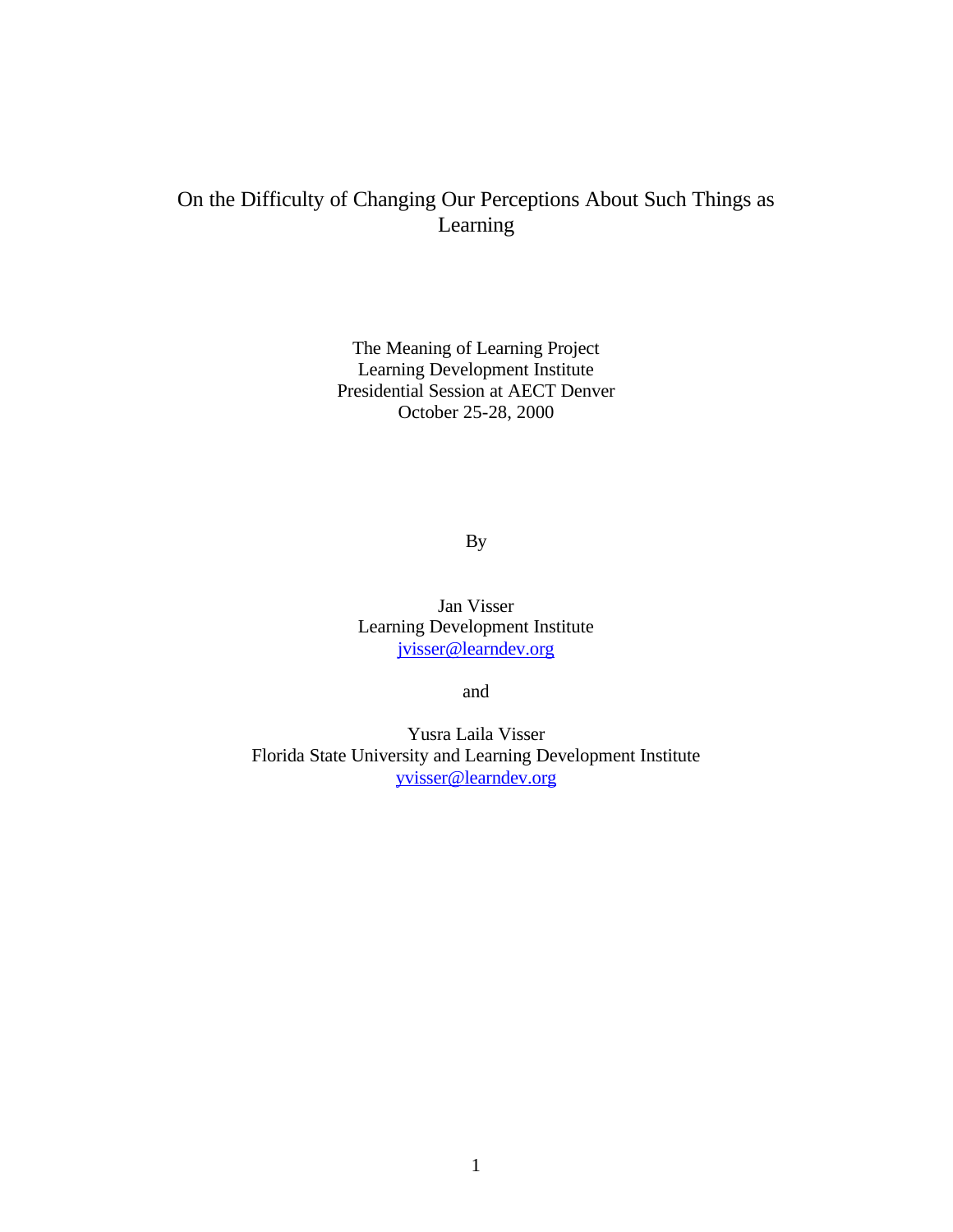## On the Difficulty of Changing Our Perceptions About Such Things as Learning

The Meaning of Learning Project Learning Development Institute Presidential Session at AECT Denver October 25-28, 2000

By

Jan Visser Learning Development Institute jvisser@learndev.org

and

Yusra Laila Visser Florida State University and Learning Development Institute yvisser@learndev.org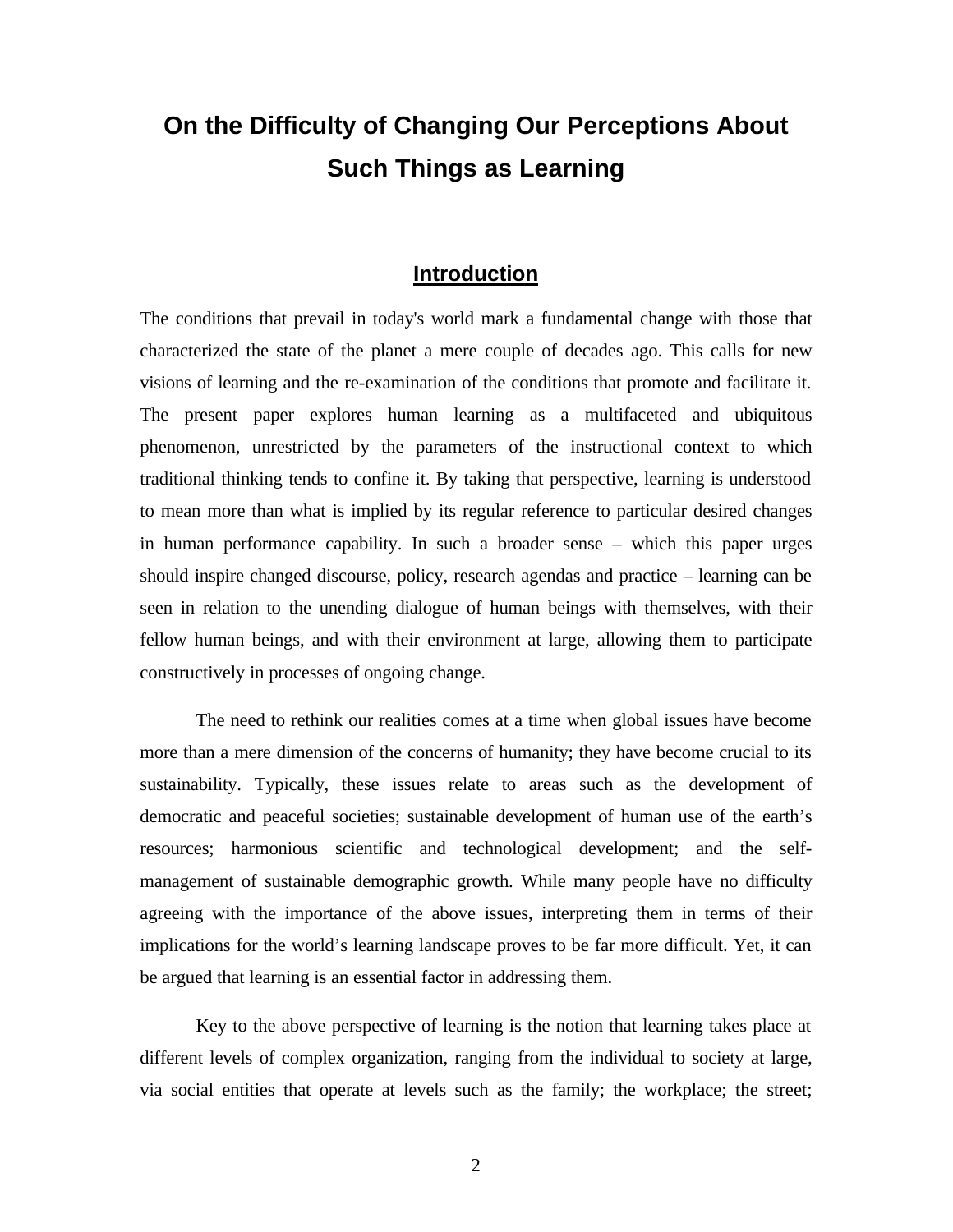# **On the Difficulty of Changing Our Perceptions About Such Things as Learning**

## **Introduction**

The conditions that prevail in today's world mark a fundamental change with those that characterized the state of the planet a mere couple of decades ago. This calls for new visions of learning and the re-examination of the conditions that promote and facilitate it. The present paper explores human learning as a multifaceted and ubiquitous phenomenon, unrestricted by the parameters of the instructional context to which traditional thinking tends to confine it. By taking that perspective, learning is understood to mean more than what is implied by its regular reference to particular desired changes in human performance capability. In such a broader sense – which this paper urges should inspire changed discourse, policy, research agendas and practice – learning can be seen in relation to the unending dialogue of human beings with themselves, with their fellow human beings, and with their environment at large, allowing them to participate constructively in processes of ongoing change.

The need to rethink our realities comes at a time when global issues have become more than a mere dimension of the concerns of humanity; they have become crucial to its sustainability. Typically, these issues relate to areas such as the development of democratic and peaceful societies; sustainable development of human use of the earth's resources; harmonious scientific and technological development; and the selfmanagement of sustainable demographic growth. While many people have no difficulty agreeing with the importance of the above issues, interpreting them in terms of their implications for the world's learning landscape proves to be far more difficult. Yet, it can be argued that learning is an essential factor in addressing them.

Key to the above perspective of learning is the notion that learning takes place at different levels of complex organization, ranging from the individual to society at large, via social entities that operate at levels such as the family; the workplace; the street;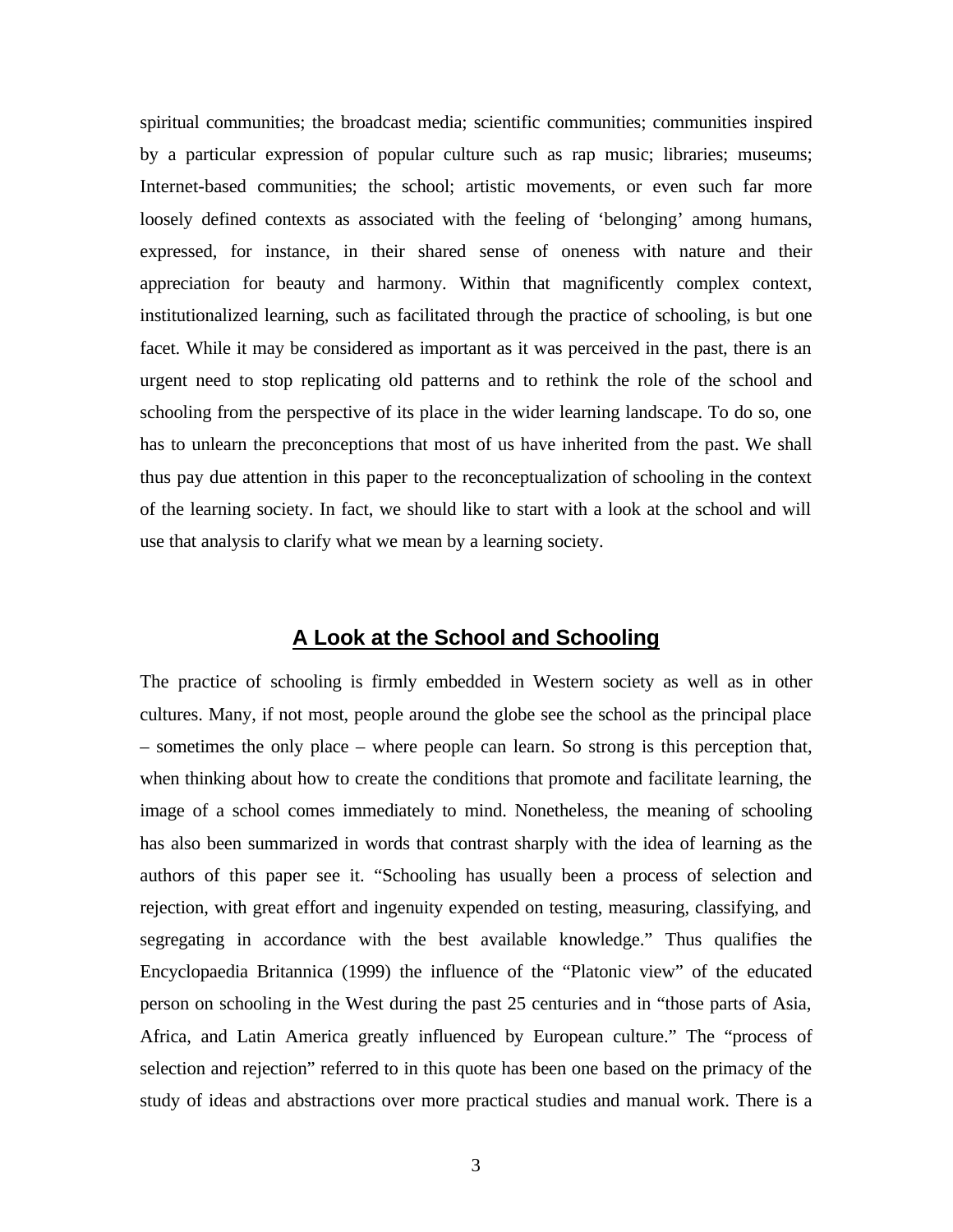spiritual communities; the broadcast media; scientific communities; communities inspired by a particular expression of popular culture such as rap music; libraries; museums; Internet-based communities; the school; artistic movements, or even such far more loosely defined contexts as associated with the feeling of 'belonging' among humans, expressed, for instance, in their shared sense of oneness with nature and their appreciation for beauty and harmony. Within that magnificently complex context, institutionalized learning, such as facilitated through the practice of schooling, is but one facet. While it may be considered as important as it was perceived in the past, there is an urgent need to stop replicating old patterns and to rethink the role of the school and schooling from the perspective of its place in the wider learning landscape. To do so, one has to unlearn the preconceptions that most of us have inherited from the past. We shall thus pay due attention in this paper to the reconceptualization of schooling in the context of the learning society. In fact, we should like to start with a look at the school and will use that analysis to clarify what we mean by a learning society.

## **A Look at the School and Schooling**

The practice of schooling is firmly embedded in Western society as well as in other cultures. Many, if not most, people around the globe see the school as the principal place – sometimes the only place – where people can learn. So strong is this perception that, when thinking about how to create the conditions that promote and facilitate learning, the image of a school comes immediately to mind. Nonetheless, the meaning of schooling has also been summarized in words that contrast sharply with the idea of learning as the authors of this paper see it. "Schooling has usually been a process of selection and rejection, with great effort and ingenuity expended on testing, measuring, classifying, and segregating in accordance with the best available knowledge." Thus qualifies the Encyclopaedia Britannica (1999) the influence of the "Platonic view" of the educated person on schooling in the West during the past 25 centuries and in "those parts of Asia, Africa, and Latin America greatly influenced by European culture." The "process of selection and rejection" referred to in this quote has been one based on the primacy of the study of ideas and abstractions over more practical studies and manual work. There is a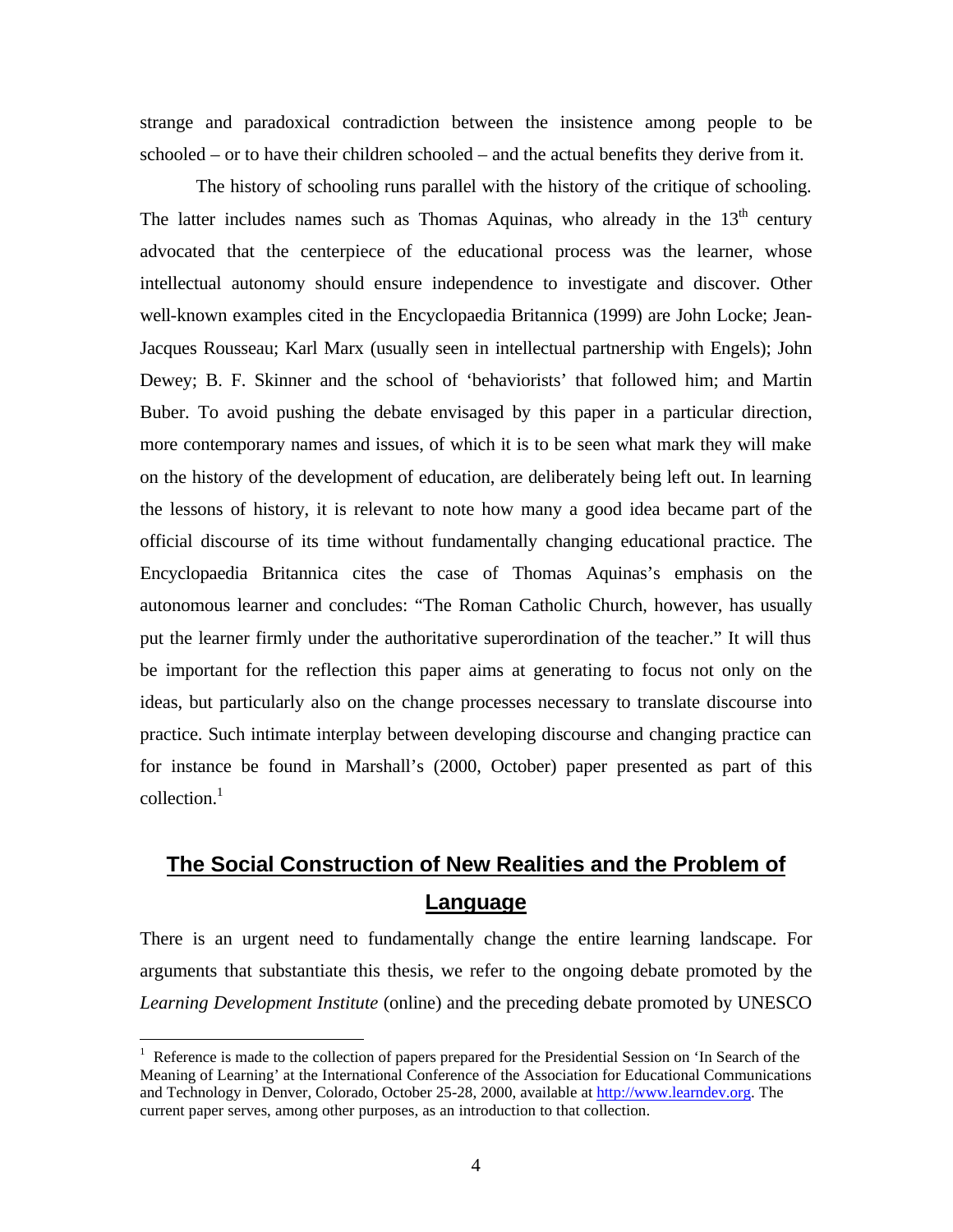strange and paradoxical contradiction between the insistence among people to be schooled – or to have their children schooled – and the actual benefits they derive from it.

The history of schooling runs parallel with the history of the critique of schooling. The latter includes names such as Thomas Aquinas, who already in the  $13<sup>th</sup>$  century advocated that the centerpiece of the educational process was the learner, whose intellectual autonomy should ensure independence to investigate and discover. Other well-known examples cited in the Encyclopaedia Britannica (1999) are John Locke; Jean-Jacques Rousseau; Karl Marx (usually seen in intellectual partnership with Engels); John Dewey; B. F. Skinner and the school of 'behaviorists' that followed him; and Martin Buber. To avoid pushing the debate envisaged by this paper in a particular direction, more contemporary names and issues, of which it is to be seen what mark they will make on the history of the development of education, are deliberately being left out. In learning the lessons of history, it is relevant to note how many a good idea became part of the official discourse of its time without fundamentally changing educational practice. The Encyclopaedia Britannica cites the case of Thomas Aquinas's emphasis on the autonomous learner and concludes: "The Roman Catholic Church, however, has usually put the learner firmly under the authoritative superordination of the teacher." It will thus be important for the reflection this paper aims at generating to focus not only on the ideas, but particularly also on the change processes necessary to translate discourse into practice. Such intimate interplay between developing discourse and changing practice can for instance be found in Marshall's (2000, October) paper presented as part of this  $\text{collection.}^1$ 

## **The Social Construction of New Realities and the Problem of Language**

There is an urgent need to fundamentally change the entire learning landscape. For arguments that substantiate this thesis, we refer to the ongoing debate promoted by the *Learning Development Institute* (online) and the preceding debate promoted by UNESCO

 $\overline{a}$ 

<sup>&</sup>lt;sup>1</sup> Reference is made to the collection of papers prepared for the Presidential Session on 'In Search of the Meaning of Learning' at the International Conference of the Association for Educational Communications and Technology in Denver, Colorado, October 25-28, 2000, available at http://www.learndev.org. The current paper serves, among other purposes, as an introduction to that collection.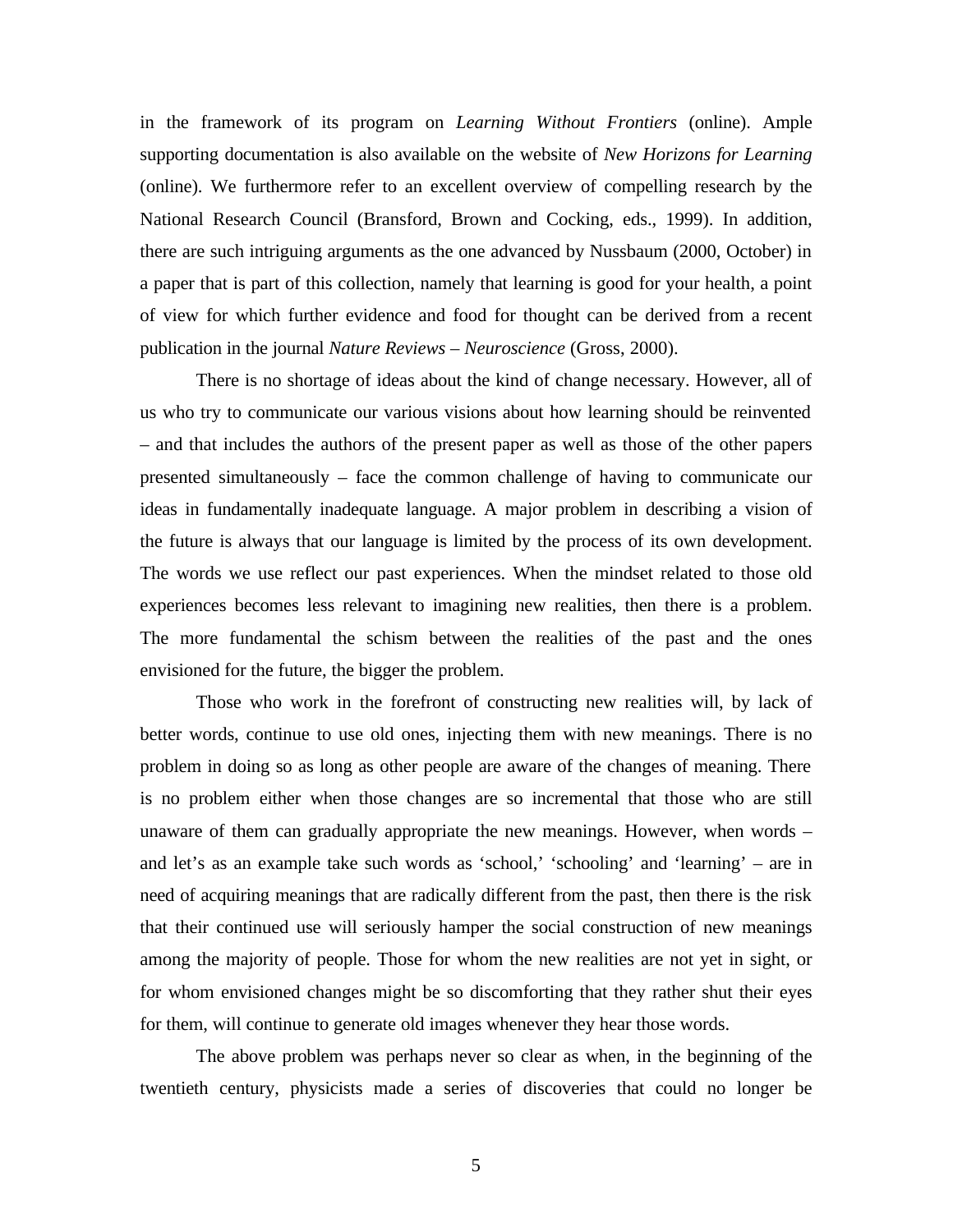in the framework of its program on *Learning Without Frontiers* (online). Ample supporting documentation is also available on the website of *New Horizons for Learning* (online). We furthermore refer to an excellent overview of compelling research by the National Research Council (Bransford, Brown and Cocking, eds., 1999). In addition, there are such intriguing arguments as the one advanced by Nussbaum (2000, October) in a paper that is part of this collection, namely that learning is good for your health, a point of view for which further evidence and food for thought can be derived from a recent publication in the journal *Nature Reviews – Neuroscience* (Gross, 2000).

There is no shortage of ideas about the kind of change necessary. However, all of us who try to communicate our various visions about how learning should be reinvented – and that includes the authors of the present paper as well as those of the other papers presented simultaneously – face the common challenge of having to communicate our ideas in fundamentally inadequate language. A major problem in describing a vision of the future is always that our language is limited by the process of its own development. The words we use reflect our past experiences. When the mindset related to those old experiences becomes less relevant to imagining new realities, then there is a problem. The more fundamental the schism between the realities of the past and the ones envisioned for the future, the bigger the problem.

Those who work in the forefront of constructing new realities will, by lack of better words, continue to use old ones, injecting them with new meanings. There is no problem in doing so as long as other people are aware of the changes of meaning. There is no problem either when those changes are so incremental that those who are still unaware of them can gradually appropriate the new meanings. However, when words – and let's as an example take such words as 'school,' 'schooling' and 'learning' – are in need of acquiring meanings that are radically different from the past, then there is the risk that their continued use will seriously hamper the social construction of new meanings among the majority of people. Those for whom the new realities are not yet in sight, or for whom envisioned changes might be so discomforting that they rather shut their eyes for them, will continue to generate old images whenever they hear those words.

The above problem was perhaps never so clear as when, in the beginning of the twentieth century, physicists made a series of discoveries that could no longer be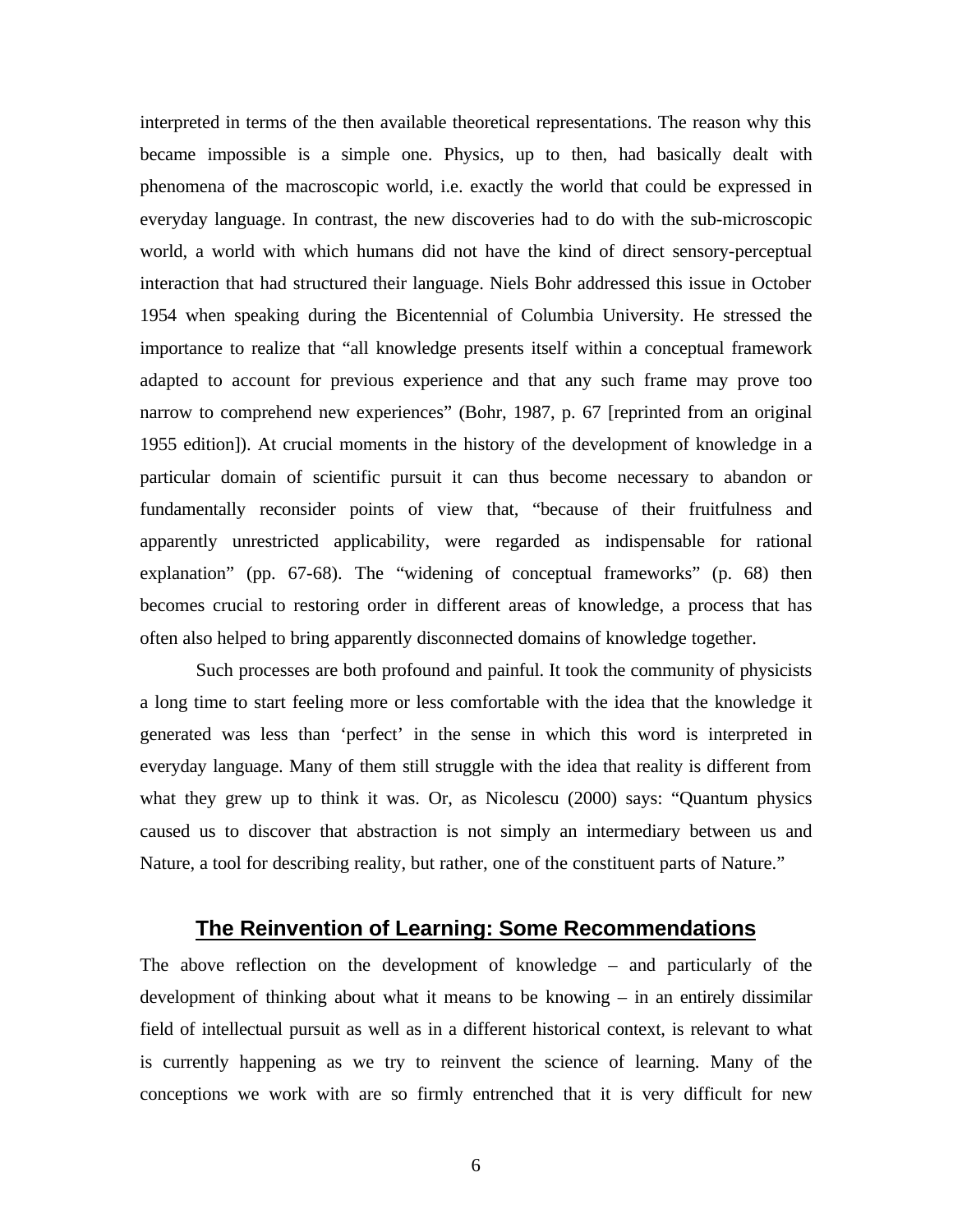interpreted in terms of the then available theoretical representations. The reason why this became impossible is a simple one. Physics, up to then, had basically dealt with phenomena of the macroscopic world, i.e. exactly the world that could be expressed in everyday language. In contrast, the new discoveries had to do with the sub-microscopic world, a world with which humans did not have the kind of direct sensory-perceptual interaction that had structured their language. Niels Bohr addressed this issue in October 1954 when speaking during the Bicentennial of Columbia University. He stressed the importance to realize that "all knowledge presents itself within a conceptual framework adapted to account for previous experience and that any such frame may prove too narrow to comprehend new experiences" (Bohr, 1987, p. 67 [reprinted from an original 1955 edition]). At crucial moments in the history of the development of knowledge in a particular domain of scientific pursuit it can thus become necessary to abandon or fundamentally reconsider points of view that, "because of their fruitfulness and apparently unrestricted applicability, were regarded as indispensable for rational explanation" (pp. 67-68). The "widening of conceptual frameworks" (p. 68) then becomes crucial to restoring order in different areas of knowledge, a process that has often also helped to bring apparently disconnected domains of knowledge together.

Such processes are both profound and painful. It took the community of physicists a long time to start feeling more or less comfortable with the idea that the knowledge it generated was less than 'perfect' in the sense in which this word is interpreted in everyday language. Many of them still struggle with the idea that reality is different from what they grew up to think it was. Or, as Nicolescu (2000) says: "Quantum physics caused us to discover that abstraction is not simply an intermediary between us and Nature, a tool for describing reality, but rather, one of the constituent parts of Nature."

## **The Reinvention of Learning: Some Recommendations**

The above reflection on the development of knowledge – and particularly of the development of thinking about what it means to be knowing – in an entirely dissimilar field of intellectual pursuit as well as in a different historical context, is relevant to what is currently happening as we try to reinvent the science of learning. Many of the conceptions we work with are so firmly entrenched that it is very difficult for new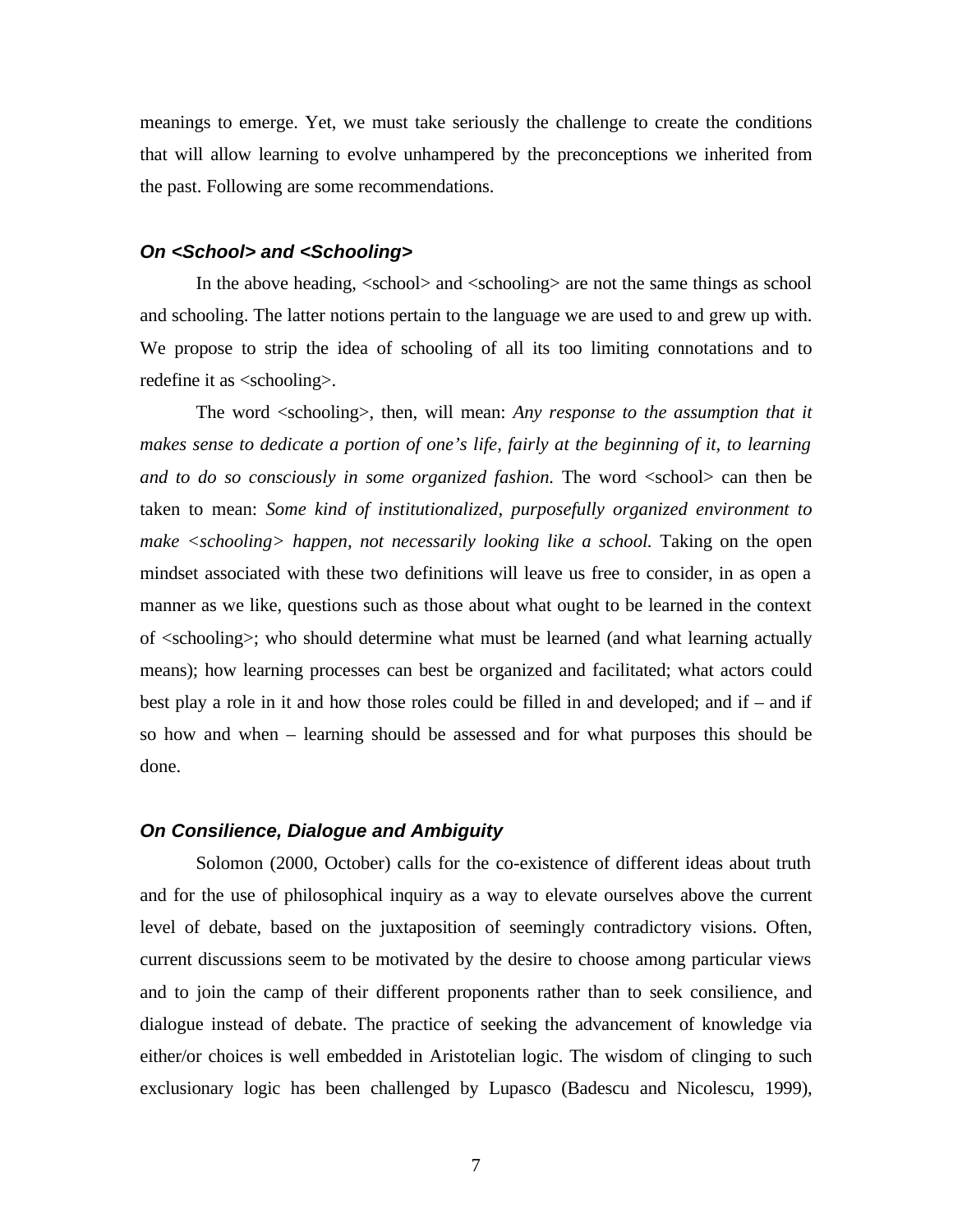meanings to emerge. Yet, we must take seriously the challenge to create the conditions that will allow learning to evolve unhampered by the preconceptions we inherited from the past. Following are some recommendations.

#### *On <School> and <Schooling>*

In the above heading,  $\le$ school $>$  and  $\le$ schooling $>$  are not the same things as school and schooling. The latter notions pertain to the language we are used to and grew up with. We propose to strip the idea of schooling of all its too limiting connotations and to redefine it as  $\langle$ schooling $\rangle$ .

The word <schooling>, then, will mean: *Any response to the assumption that it makes sense to dedicate a portion of one's life, fairly at the beginning of it, to learning and to do so consciously in some organized fashion*. The word  $\langle$ school $\rangle$  can then be taken to mean: *Some kind of institutionalized, purposefully organized environment to make <schooling> happen, not necessarily looking like a school.* Taking on the open mindset associated with these two definitions will leave us free to consider, in as open a manner as we like, questions such as those about what ought to be learned in the context of <schooling>; who should determine what must be learned (and what learning actually means); how learning processes can best be organized and facilitated; what actors could best play a role in it and how those roles could be filled in and developed; and if – and if so how and when – learning should be assessed and for what purposes this should be done.

#### *On Consilience, Dialogue and Ambiguity*

Solomon (2000, October) calls for the co-existence of different ideas about truth and for the use of philosophical inquiry as a way to elevate ourselves above the current level of debate, based on the juxtaposition of seemingly contradictory visions. Often, current discussions seem to be motivated by the desire to choose among particular views and to join the camp of their different proponents rather than to seek consilience, and dialogue instead of debate. The practice of seeking the advancement of knowledge via either/or choices is well embedded in Aristotelian logic. The wisdom of clinging to such exclusionary logic has been challenged by Lupasco (Badescu and Nicolescu, 1999),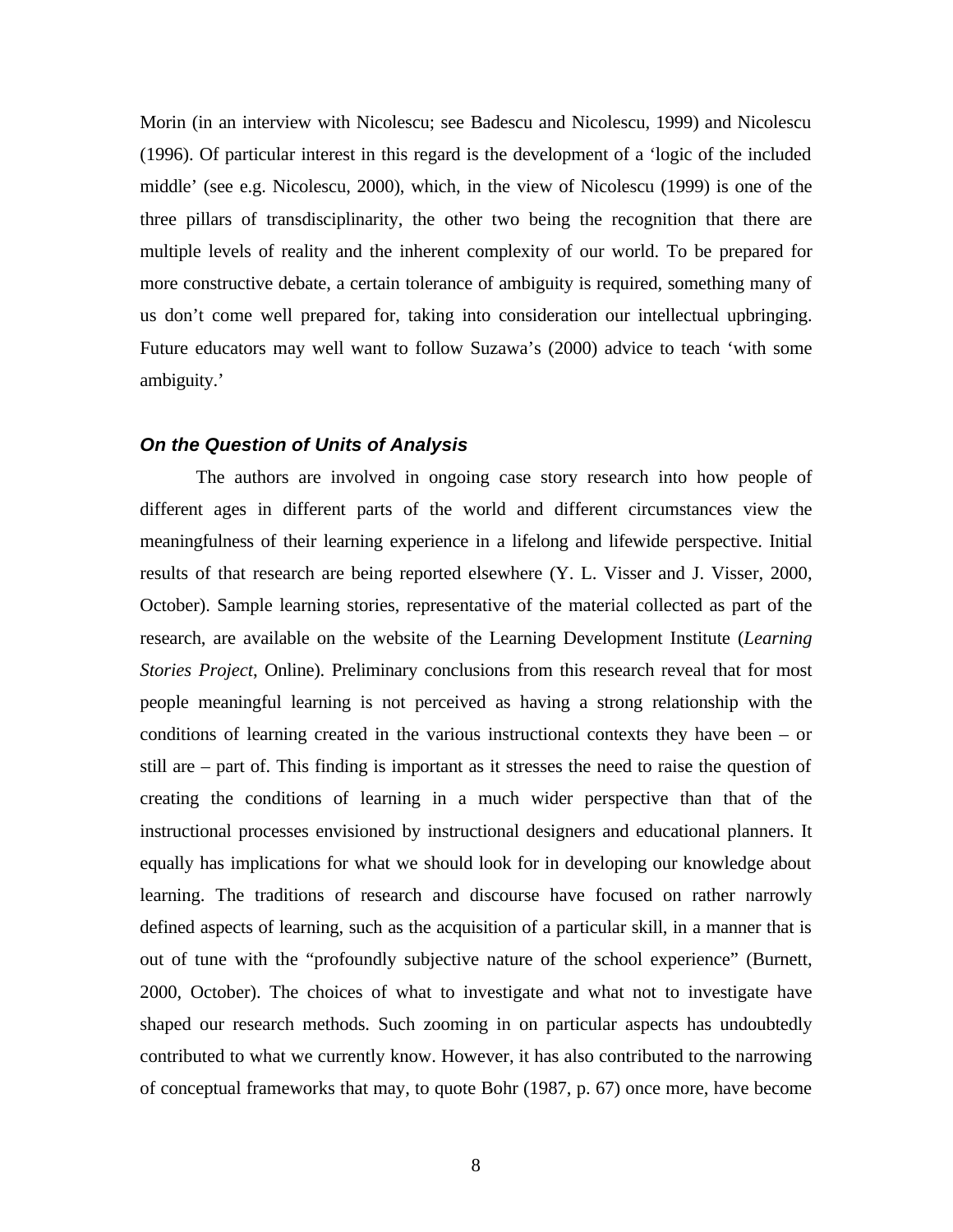Morin (in an interview with Nicolescu; see Badescu and Nicolescu, 1999) and Nicolescu (1996). Of particular interest in this regard is the development of a 'logic of the included middle' (see e.g. Nicolescu, 2000), which, in the view of Nicolescu (1999) is one of the three pillars of transdisciplinarity, the other two being the recognition that there are multiple levels of reality and the inherent complexity of our world. To be prepared for more constructive debate, a certain tolerance of ambiguity is required, something many of us don't come well prepared for, taking into consideration our intellectual upbringing. Future educators may well want to follow Suzawa's (2000) advice to teach 'with some ambiguity.'

#### *On the Question of Units of Analysis*

The authors are involved in ongoing case story research into how people of different ages in different parts of the world and different circumstances view the meaningfulness of their learning experience in a lifelong and lifewide perspective. Initial results of that research are being reported elsewhere (Y. L. Visser and J. Visser, 2000, October). Sample learning stories, representative of the material collected as part of the research, are available on the website of the Learning Development Institute (*Learning Stories Project*, Online). Preliminary conclusions from this research reveal that for most people meaningful learning is not perceived as having a strong relationship with the conditions of learning created in the various instructional contexts they have been – or still are – part of. This finding is important as it stresses the need to raise the question of creating the conditions of learning in a much wider perspective than that of the instructional processes envisioned by instructional designers and educational planners. It equally has implications for what we should look for in developing our knowledge about learning. The traditions of research and discourse have focused on rather narrowly defined aspects of learning, such as the acquisition of a particular skill, in a manner that is out of tune with the "profoundly subjective nature of the school experience" (Burnett, 2000, October). The choices of what to investigate and what not to investigate have shaped our research methods. Such zooming in on particular aspects has undoubtedly contributed to what we currently know. However, it has also contributed to the narrowing of conceptual frameworks that may, to quote Bohr (1987, p. 67) once more, have become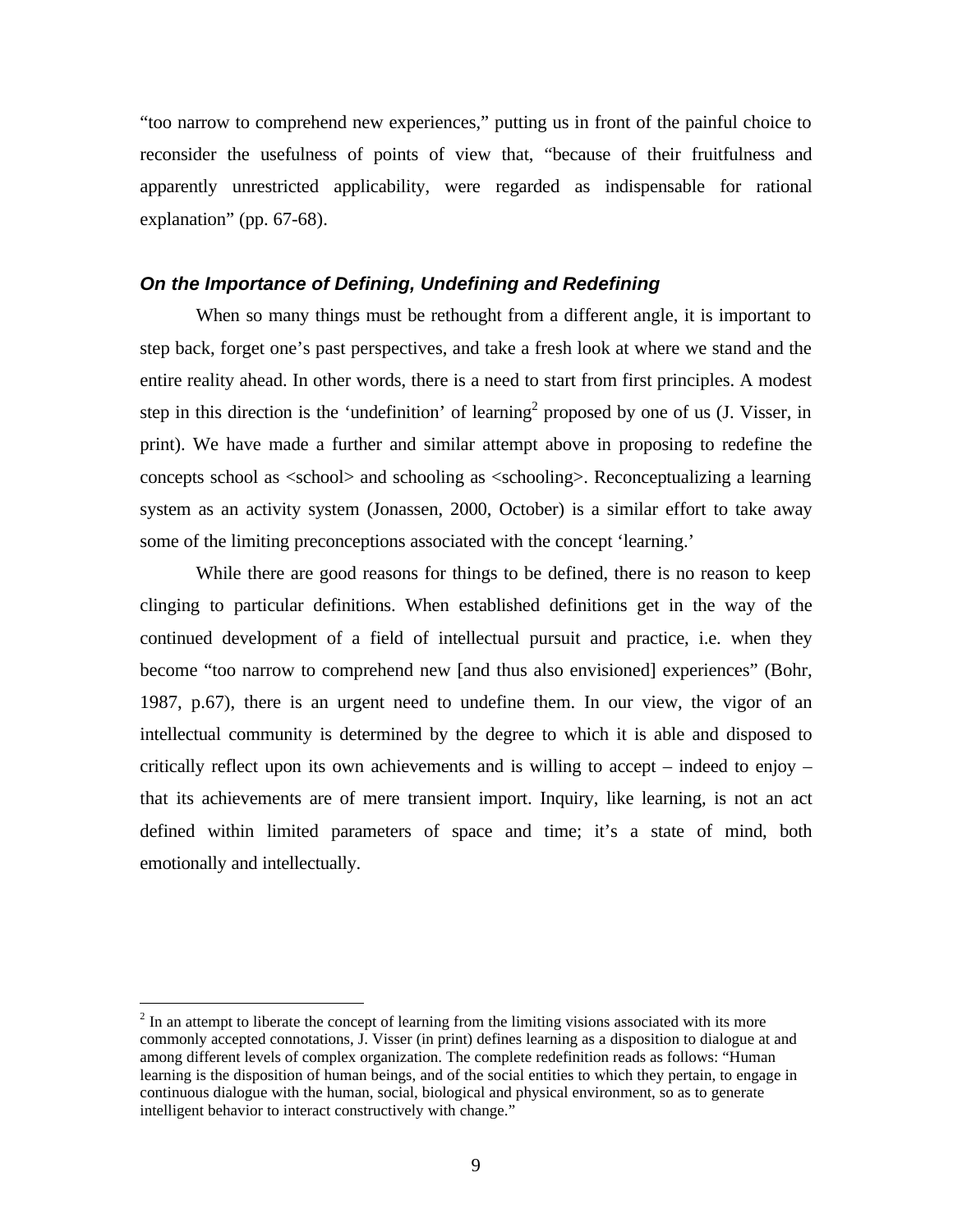"too narrow to comprehend new experiences," putting us in front of the painful choice to reconsider the usefulness of points of view that, "because of their fruitfulness and apparently unrestricted applicability, were regarded as indispensable for rational explanation" (pp. 67-68).

#### *On the Importance of Defining, Undefining and Redefining*

When so many things must be rethought from a different angle, it is important to step back, forget one's past perspectives, and take a fresh look at where we stand and the entire reality ahead. In other words, there is a need to start from first principles. A modest step in this direction is the 'undefinition' of learning<sup>2</sup> proposed by one of us  $(I. Visser, in)$ print). We have made a further and similar attempt above in proposing to redefine the concepts school as <school> and schooling as <schooling>. Reconceptualizing a learning system as an activity system (Jonassen, 2000, October) is a similar effort to take away some of the limiting preconceptions associated with the concept 'learning.'

While there are good reasons for things to be defined, there is no reason to keep clinging to particular definitions. When established definitions get in the way of the continued development of a field of intellectual pursuit and practice, i.e. when they become "too narrow to comprehend new [and thus also envisioned] experiences" (Bohr, 1987, p.67), there is an urgent need to undefine them. In our view, the vigor of an intellectual community is determined by the degree to which it is able and disposed to critically reflect upon its own achievements and is willing to accept – indeed to enjoy – that its achievements are of mere transient import. Inquiry, like learning, is not an act defined within limited parameters of space and time; it's a state of mind, both emotionally and intellectually.

 $\overline{a}$ 

 $2<sup>2</sup>$  In an attempt to liberate the concept of learning from the limiting visions associated with its more commonly accepted connotations, J. Visser (in print) defines learning as a disposition to dialogue at and among different levels of complex organization. The complete redefinition reads as follows: "Human learning is the disposition of human beings, and of the social entities to which they pertain, to engage in continuous dialogue with the human, social, biological and physical environment, so as to generate intelligent behavior to interact constructively with change."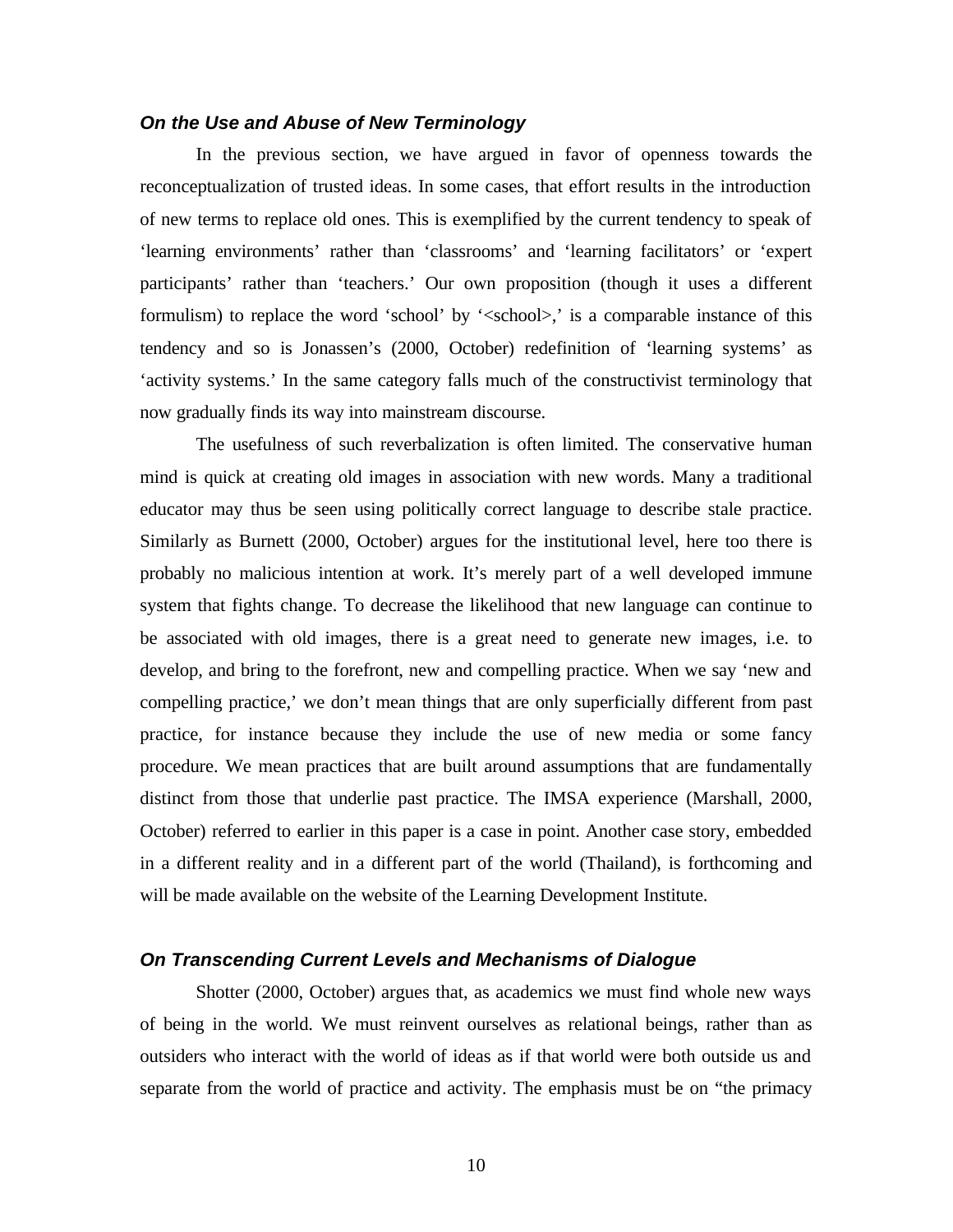#### *On the Use and Abuse of New Terminology*

In the previous section, we have argued in favor of openness towards the reconceptualization of trusted ideas. In some cases, that effort results in the introduction of new terms to replace old ones. This is exemplified by the current tendency to speak of 'learning environments' rather than 'classrooms' and 'learning facilitators' or 'expert participants' rather than 'teachers.' Our own proposition (though it uses a different formulism) to replace the word 'school' by '<school>,' is a comparable instance of this tendency and so is Jonassen's (2000, October) redefinition of 'learning systems' as 'activity systems.' In the same category falls much of the constructivist terminology that now gradually finds its way into mainstream discourse.

The usefulness of such reverbalization is often limited. The conservative human mind is quick at creating old images in association with new words. Many a traditional educator may thus be seen using politically correct language to describe stale practice. Similarly as Burnett (2000, October) argues for the institutional level, here too there is probably no malicious intention at work. It's merely part of a well developed immune system that fights change. To decrease the likelihood that new language can continue to be associated with old images, there is a great need to generate new images, i.e. to develop, and bring to the forefront, new and compelling practice. When we say 'new and compelling practice,' we don't mean things that are only superficially different from past practice, for instance because they include the use of new media or some fancy procedure. We mean practices that are built around assumptions that are fundamentally distinct from those that underlie past practice. The IMSA experience (Marshall, 2000, October) referred to earlier in this paper is a case in point. Another case story, embedded in a different reality and in a different part of the world (Thailand), is forthcoming and will be made available on the website of the Learning Development Institute.

#### *On Transcending Current Levels and Mechanisms of Dialogue*

Shotter (2000, October) argues that, as academics we must find whole new ways of being in the world. We must reinvent ourselves as relational beings, rather than as outsiders who interact with the world of ideas as if that world were both outside us and separate from the world of practice and activity. The emphasis must be on "the primacy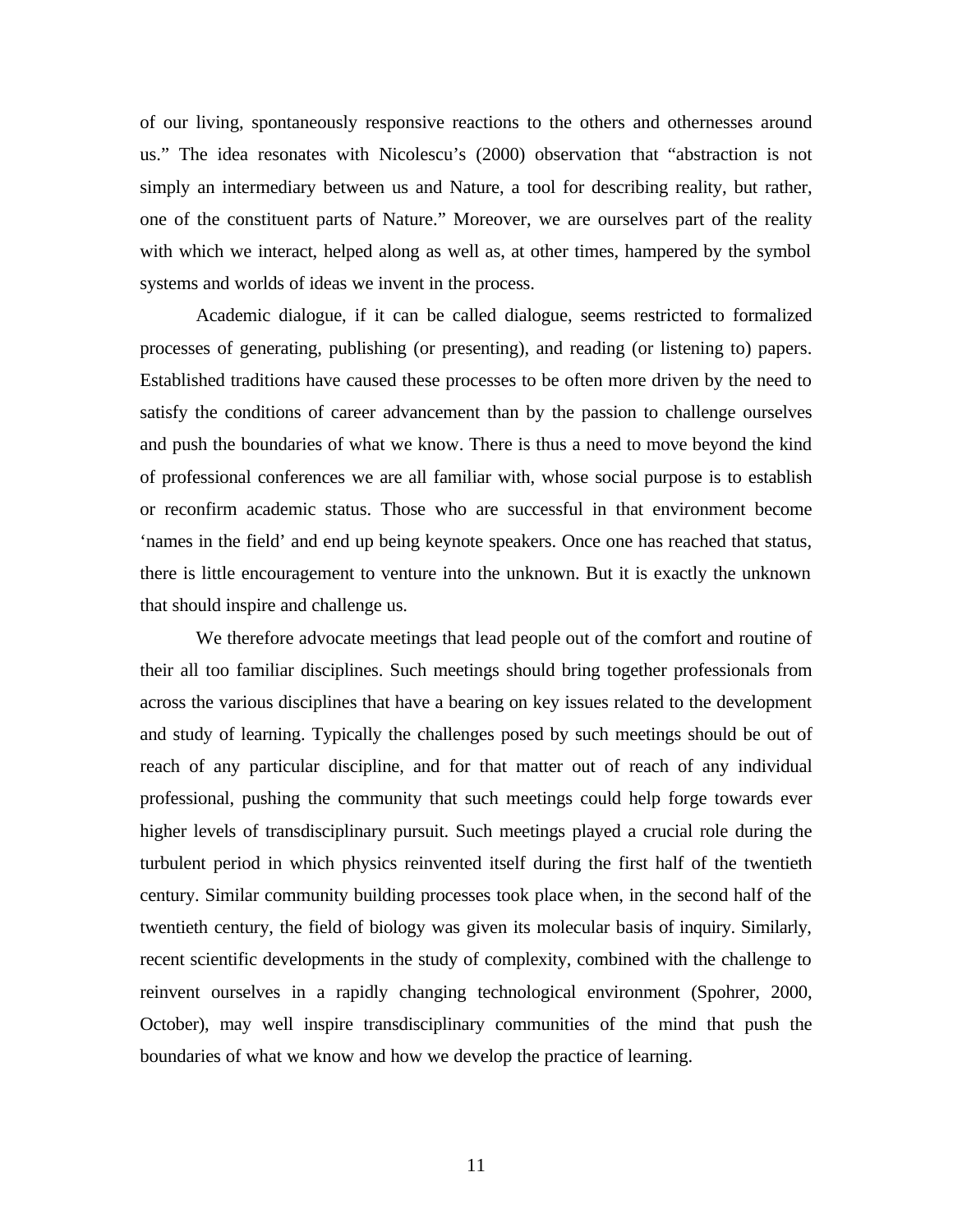of our living, spontaneously responsive reactions to the others and othernesses around us." The idea resonates with Nicolescu's (2000) observation that "abstraction is not simply an intermediary between us and Nature, a tool for describing reality, but rather, one of the constituent parts of Nature." Moreover, we are ourselves part of the reality with which we interact, helped along as well as, at other times, hampered by the symbol systems and worlds of ideas we invent in the process.

Academic dialogue, if it can be called dialogue, seems restricted to formalized processes of generating, publishing (or presenting), and reading (or listening to) papers. Established traditions have caused these processes to be often more driven by the need to satisfy the conditions of career advancement than by the passion to challenge ourselves and push the boundaries of what we know. There is thus a need to move beyond the kind of professional conferences we are all familiar with, whose social purpose is to establish or reconfirm academic status. Those who are successful in that environment become 'names in the field' and end up being keynote speakers. Once one has reached that status, there is little encouragement to venture into the unknown. But it is exactly the unknown that should inspire and challenge us.

We therefore advocate meetings that lead people out of the comfort and routine of their all too familiar disciplines. Such meetings should bring together professionals from across the various disciplines that have a bearing on key issues related to the development and study of learning. Typically the challenges posed by such meetings should be out of reach of any particular discipline, and for that matter out of reach of any individual professional, pushing the community that such meetings could help forge towards ever higher levels of transdisciplinary pursuit. Such meetings played a crucial role during the turbulent period in which physics reinvented itself during the first half of the twentieth century. Similar community building processes took place when, in the second half of the twentieth century, the field of biology was given its molecular basis of inquiry. Similarly, recent scientific developments in the study of complexity, combined with the challenge to reinvent ourselves in a rapidly changing technological environment (Spohrer, 2000, October), may well inspire transdisciplinary communities of the mind that push the boundaries of what we know and how we develop the practice of learning.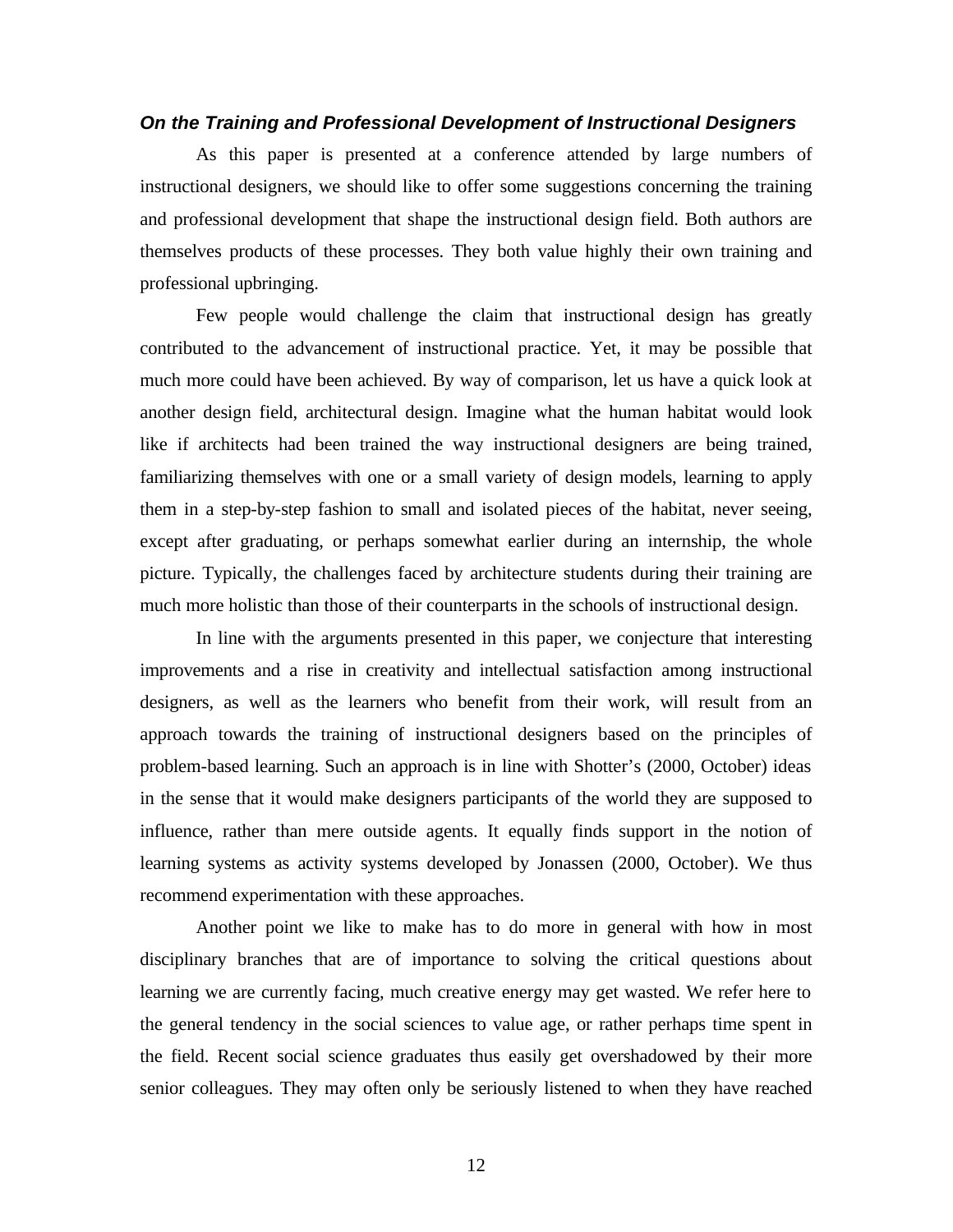#### *On the Training and Professional Development of Instructional Designers*

As this paper is presented at a conference attended by large numbers of instructional designers, we should like to offer some suggestions concerning the training and professional development that shape the instructional design field. Both authors are themselves products of these processes. They both value highly their own training and professional upbringing.

Few people would challenge the claim that instructional design has greatly contributed to the advancement of instructional practice. Yet, it may be possible that much more could have been achieved. By way of comparison, let us have a quick look at another design field, architectural design. Imagine what the human habitat would look like if architects had been trained the way instructional designers are being trained, familiarizing themselves with one or a small variety of design models, learning to apply them in a step-by-step fashion to small and isolated pieces of the habitat, never seeing, except after graduating, or perhaps somewhat earlier during an internship, the whole picture. Typically, the challenges faced by architecture students during their training are much more holistic than those of their counterparts in the schools of instructional design.

In line with the arguments presented in this paper, we conjecture that interesting improvements and a rise in creativity and intellectual satisfaction among instructional designers, as well as the learners who benefit from their work, will result from an approach towards the training of instructional designers based on the principles of problem-based learning. Such an approach is in line with Shotter's (2000, October) ideas in the sense that it would make designers participants of the world they are supposed to influence, rather than mere outside agents. It equally finds support in the notion of learning systems as activity systems developed by Jonassen (2000, October). We thus recommend experimentation with these approaches.

Another point we like to make has to do more in general with how in most disciplinary branches that are of importance to solving the critical questions about learning we are currently facing, much creative energy may get wasted. We refer here to the general tendency in the social sciences to value age, or rather perhaps time spent in the field. Recent social science graduates thus easily get overshadowed by their more senior colleagues. They may often only be seriously listened to when they have reached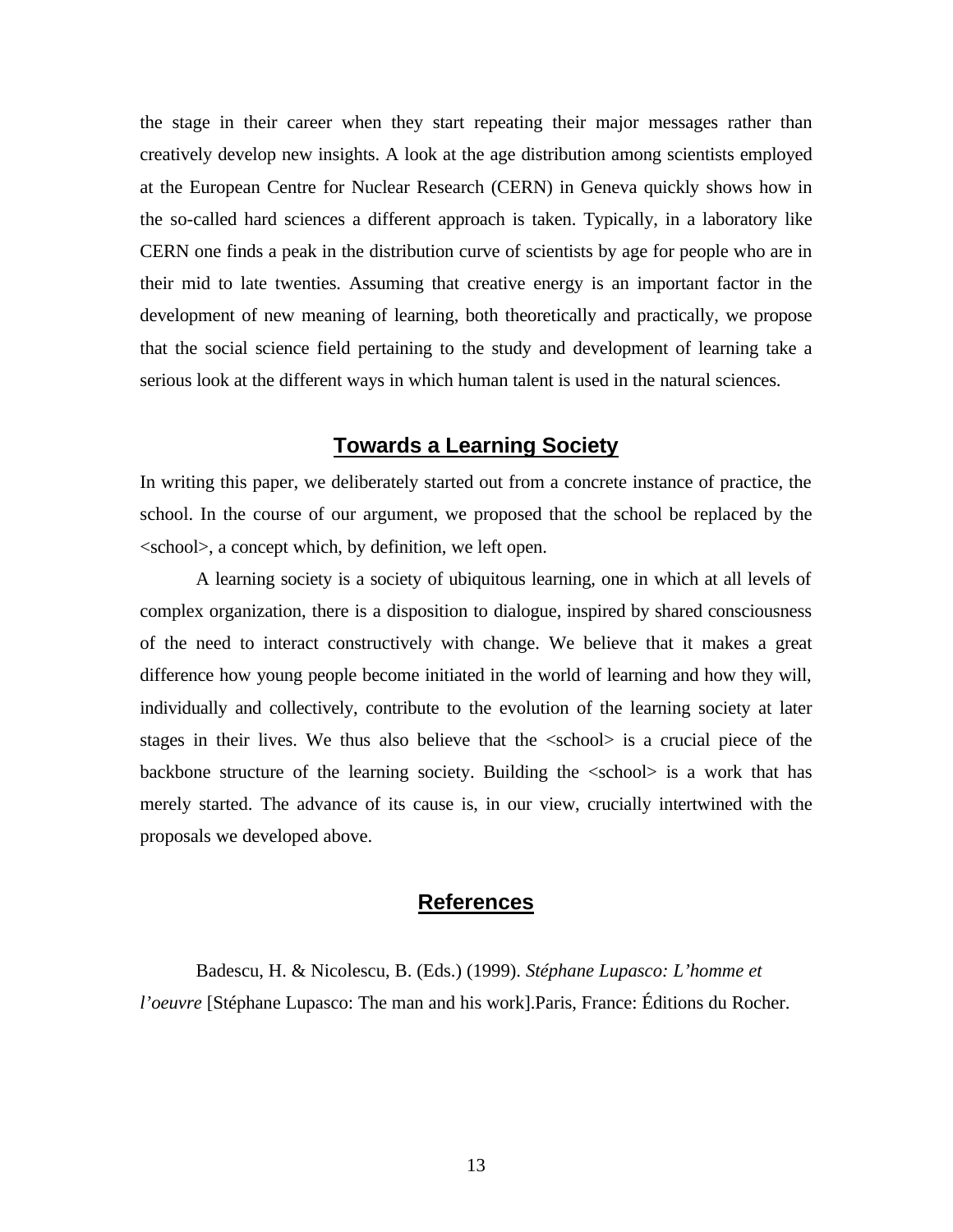the stage in their career when they start repeating their major messages rather than creatively develop new insights. A look at the age distribution among scientists employed at the European Centre for Nuclear Research (CERN) in Geneva quickly shows how in the so-called hard sciences a different approach is taken. Typically, in a laboratory like CERN one finds a peak in the distribution curve of scientists by age for people who are in their mid to late twenties. Assuming that creative energy is an important factor in the development of new meaning of learning, both theoretically and practically, we propose that the social science field pertaining to the study and development of learning take a serious look at the different ways in which human talent is used in the natural sciences.

## **Towards a Learning Society**

In writing this paper, we deliberately started out from a concrete instance of practice, the school. In the course of our argument, we proposed that the school be replaced by the <school>, a concept which, by definition, we left open.

A learning society is a society of ubiquitous learning, one in which at all levels of complex organization, there is a disposition to dialogue, inspired by shared consciousness of the need to interact constructively with change. We believe that it makes a great difference how young people become initiated in the world of learning and how they will, individually and collectively, contribute to the evolution of the learning society at later stages in their lives. We thus also believe that the <school> is a crucial piece of the backbone structure of the learning society. Building the <school> is a work that has merely started. The advance of its cause is, in our view, crucially intertwined with the proposals we developed above.

### **References**

Badescu, H. & Nicolescu, B. (Eds.) (1999). *Stéphane Lupasco: L'homme et l'oeuvre* [Stéphane Lupasco: The man and his work].Paris, France: Éditions du Rocher.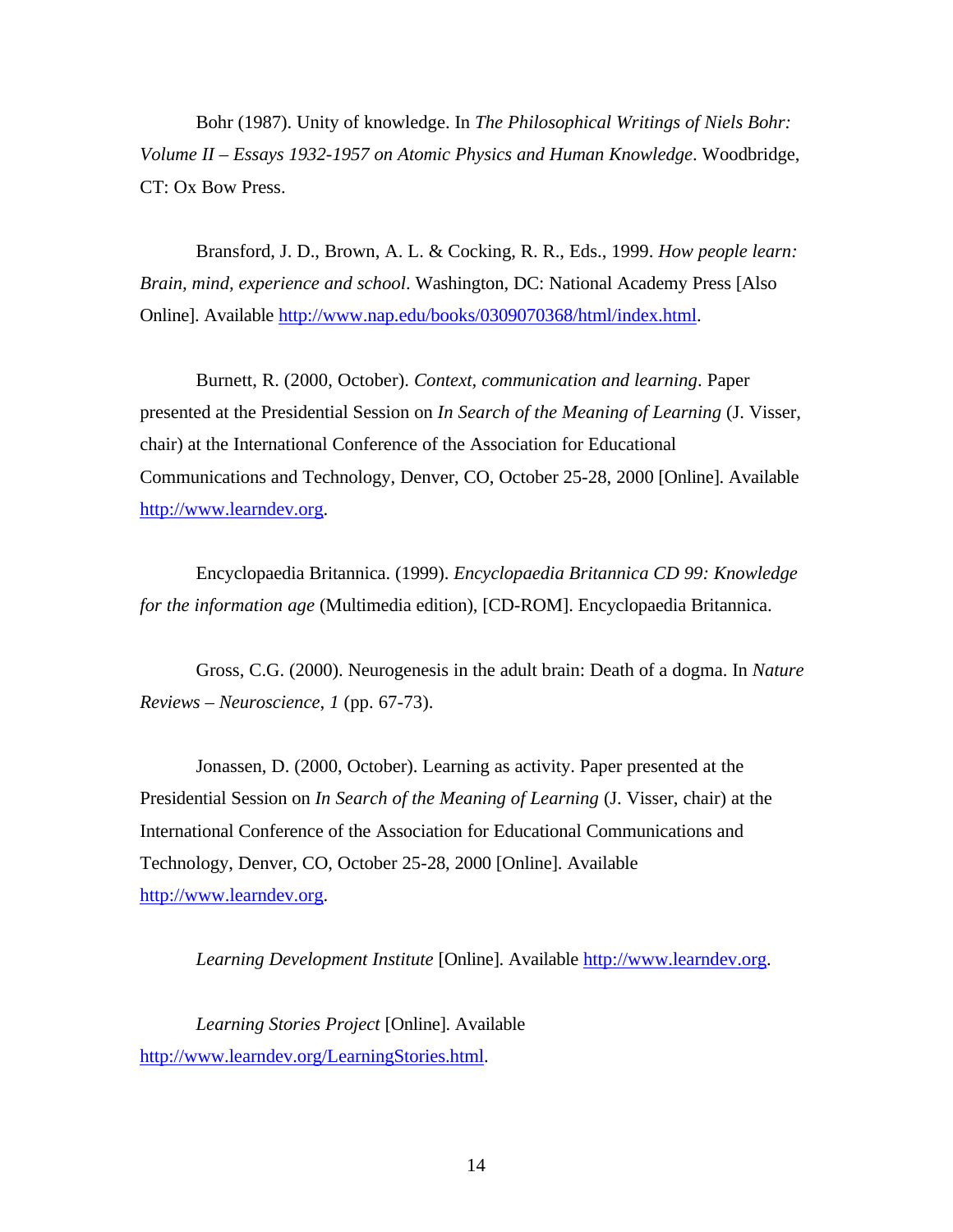Bohr (1987). Unity of knowledge. In *The Philosophical Writings of Niels Bohr: Volume II – Essays 1932-1957 on Atomic Physics and Human Knowledge*. Woodbridge, CT: Ox Bow Press.

Bransford, J. D., Brown, A. L. & Cocking, R. R., Eds., 1999. *How people learn: Brain, mind, experience and school*. Washington, DC: National Academy Press [Also Online]. Available http://www.nap.edu/books/0309070368/html/index.html.

Burnett, R. (2000, October). *Context, communication and learning*. Paper presented at the Presidential Session on *In Search of the Meaning of Learning* (J. Visser, chair) at the International Conference of the Association for Educational Communications and Technology, Denver, CO, October 25-28, 2000 [Online]. Available http://www.learndev.org.

Encyclopaedia Britannica. (1999). *Encyclopaedia Britannica CD 99: Knowledge for the information age* (Multimedia edition), [CD-ROM]. Encyclopaedia Britannica.

Gross, C.G. (2000). Neurogenesis in the adult brain: Death of a dogma. In *Nature Reviews – Neuroscience*, *1* (pp. 67-73).

Jonassen, D. (2000, October). Learning as activity. Paper presented at the Presidential Session on *In Search of the Meaning of Learning* (J. Visser, chair) at the International Conference of the Association for Educational Communications and Technology, Denver, CO, October 25-28, 2000 [Online]. Available http://www.learndev.org.

*Learning Development Institute* [Online]. Available http://www.learndev.org.

*Learning Stories Project* [Online]. Available http://www.learndev.org/LearningStories.html.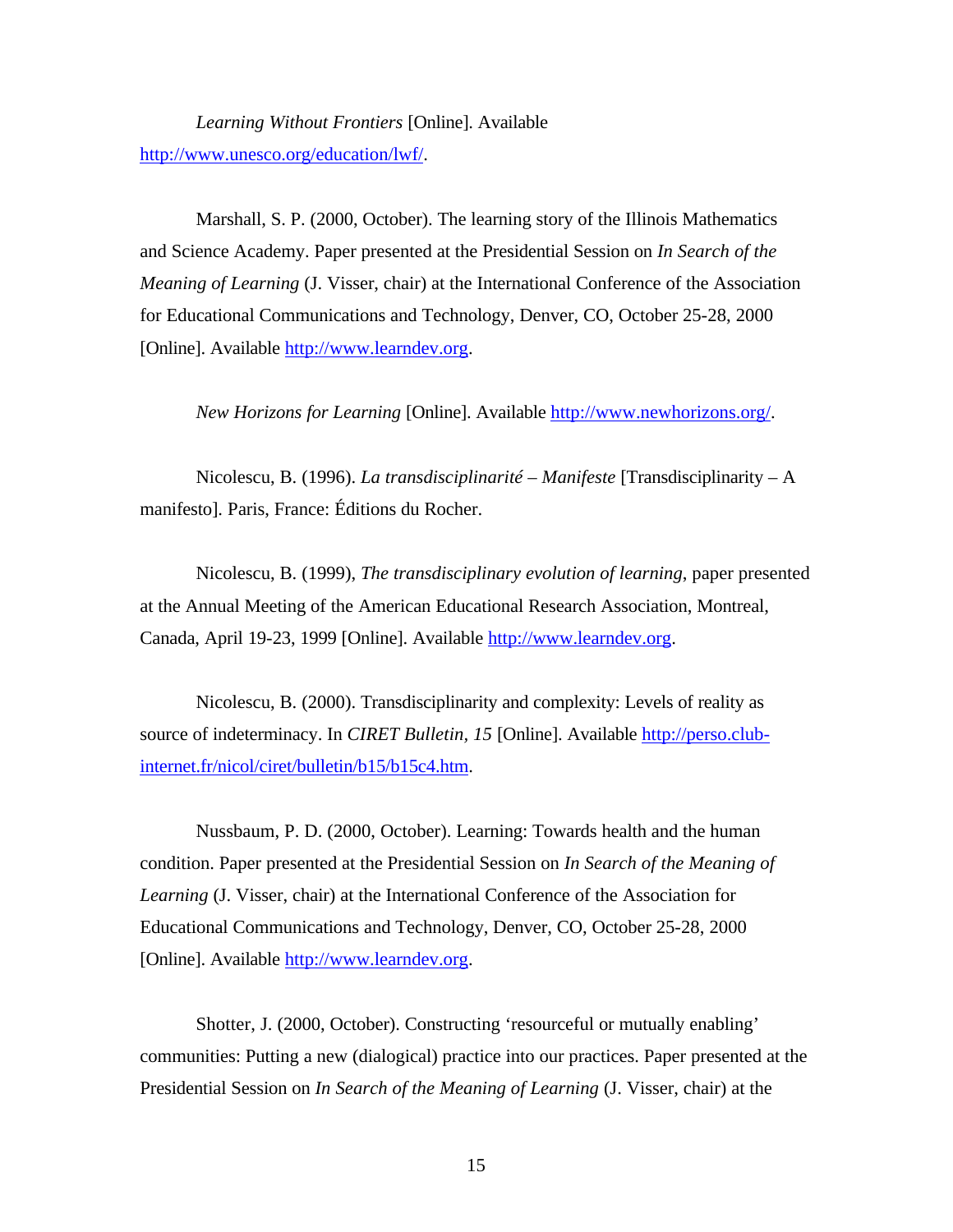*Learning Without Frontiers* [Online]. Available http://www.unesco.org/education/lwf/.

Marshall, S. P. (2000, October). The learning story of the Illinois Mathematics and Science Academy. Paper presented at the Presidential Session on *In Search of the Meaning of Learning* (J. Visser, chair) at the International Conference of the Association for Educational Communications and Technology, Denver, CO, October 25-28, 2000 [Online]. Available http://www.learndev.org.

*New Horizons for Learning* [Online]. Available http://www.newhorizons.org/.

Nicolescu, B. (1996). *La transdisciplinarité – Manifeste* [Transdisciplinarity – A manifesto]. Paris, France: Éditions du Rocher.

Nicolescu, B. (1999), *The transdisciplinary evolution of learning*, paper presented at the Annual Meeting of the American Educational Research Association, Montreal, Canada, April 19-23, 1999 [Online]. Available http://www.learndev.org.

Nicolescu, B. (2000). Transdisciplinarity and complexity: Levels of reality as source of indeterminacy. In *CIRET Bulletin, 15* [Online]. Available http://perso.clubinternet.fr/nicol/ciret/bulletin/b15/b15c4.htm.

Nussbaum, P. D. (2000, October). Learning: Towards health and the human condition. Paper presented at the Presidential Session on *In Search of the Meaning of Learning* (J. Visser, chair) at the International Conference of the Association for Educational Communications and Technology, Denver, CO, October 25-28, 2000 [Online]. Available http://www.learndev.org.

Shotter, J. (2000, October). Constructing 'resourceful or mutually enabling' communities: Putting a new (dialogical) practice into our practices. Paper presented at the Presidential Session on *In Search of the Meaning of Learning* (J. Visser, chair) at the